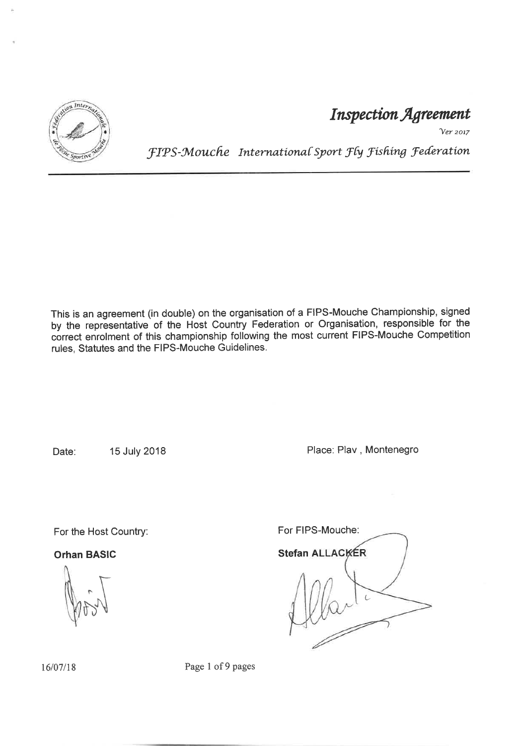

Inspection Agreement

Ver 2017

fIPS-Mouche International Sport Fly Fishing Federation

This is an agreement (in double) on the organisation of a FIPS-Mouche Championship, signed by the représentative of the Host Country Federation or Organisation, responsible for the córrect enrolment of this championship following the most current FIPS-Mouche Competition rules, Statutes and the FIPS-Mouche Guidelines.

Date: 15 July 2018 **Place: Play, Montenegro** 

For the Host Country:

Orhan BASIC

 $\frac{1}{2}$ ùrN

For FIPS-Mouche: Stefan ALLACKER (-

16/07/18 Page 1 of 9 pages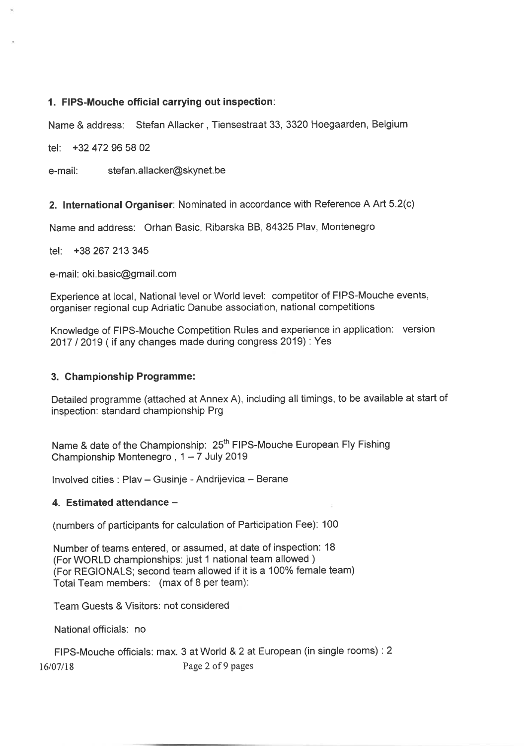#### 1. FIPS-Mouche official carrying out inspection:

Name & address: Stefan Allacker, Tiensestraat 33, 3320 Hoegaarden, Belgium

tel: +32 472 96 58 <sup>02</sup>

e-mail: stefan.allacker@skynet.be

2. lnternational Organiser: Nominated in accordance with Reference A Art 5.2(c)

Name and address: Orhan Basic, Ribarska BB, 84325 Plav, Montenegro

tel: +38 267 213 <sup>345</sup>

e-mail: oki. basic@gmail.com

Experience at local, National level or World level: competitor of FIPS-Mouche events, organiser regional cup Adriatic Danube association, national competitions

Knowledge of FIPS-Mouche Competition Rules and experience in application: version 2017 I 2019 ( if any changes made during congress 2019) : Yes

#### 3. Ghampionship Programme:

Detailed programme (attached at Annex A), including all timings, to be available at start of inspection: standard championship Prg

Name & date of the Championship: 25<sup>th</sup> FIPS-Mouche European Fly Fishing Championship Montenegro,  $1 - 7$  July 2019

Involved cities : Plav - Gusinje - Andrijevica - Berane

#### 4. Estimated attendance -

(numbers of participants for calculation of Participation Fee): 100

Number of teams entered, or assumed, at date of inspection: 18 (For WORLD championships: just 1 national team allowed ) (For REGIONALS; second team allowed if it is a 100% female team) Total Team members: (max of 8 per team):

Team Guests & Visitors: not considered

National officials: no

FIPS-Mouche officials: max. 3 at World & 2 at European (in single rooms) : 2 16/07/18 Page 2 of 9 pages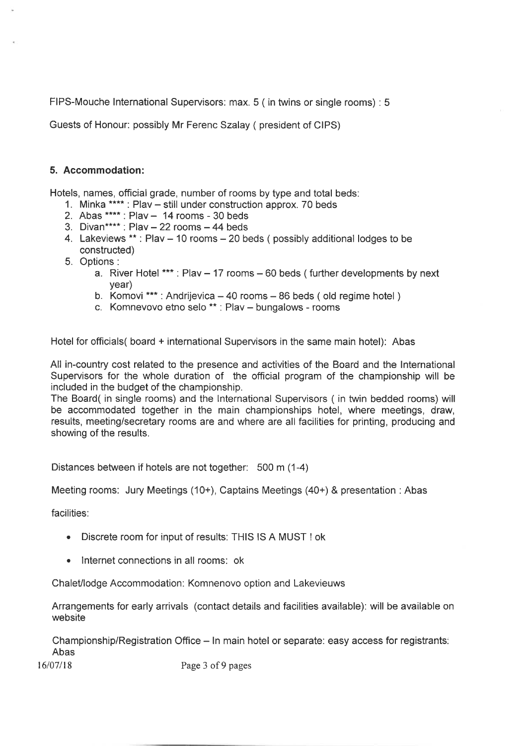FIPS-Mouche lnternational Supervisors: max. 5 ( in twins or single rooms) : 5

Guests of Honour: possibly Mr Ferenc Szalay ( president of CIPS)

#### 5. Accommodation:

Hotels, names, official grade, number of rooms by type and total beds:

- 1. Minka \*\*\*\* : Plav still under construction approx. 70 beds
- 2. Abas  $***$ : Plav  $-$  14 rooms 30 beds
- 3. Divan\*\*\*\* : Plav  $-22$  rooms  $-44$  beds
- 4. Lakeviews  $**$ : Plav  $-$  10 rooms  $-$  20 beds ( possibly additional lodges to be constructed)
- 5. Options:
	- a. River Hotel \*\*\* : Plav  $-$  17 rooms  $-$  60 beds ( further developments by next year)
	- year)<br>b. Komovi \*\*\* : Andrijevica 40 rooms 86 beds ( old regime hotel )
	- c. Komnevovo etno selo \*\*: Plav bungalows rooms

Hotel for officials( board + international Supervisors in the same main hotel): Abas

All in-country cost related to the presence and activities of the Board and the lnternational Supervisors for the whole duration of the official program of the championship will be included in the budget of the championship.

The Board( in single rooms) and the lnternational Supervisors ( in twin bedded rooms) will be accommodated together in the main championships hotel, where meetings, draw, results, meeting/secretary rooms are and where are all facilities for printing, producing and showing of the results.

Distances between if hotels are not together: 500 m (1-4)

Meeting rooms: Jury Meetings (10+), Captains Meetings (40+) & presentation : Abas

facilities:

- . Discrete room for input of results: THIS lS A MUST ! ok
- . lnternet connections in all rooms: ok

Chalet/lodge Accommodation: Komnenovo option and Lakevieuws

Arrangements for early arrivals (contact details and facilities available): will be available on website

Championship/Registration Office – In main hotel or separate: easy access for registrants: Abas

16/07/18 Page 3 of 9 pages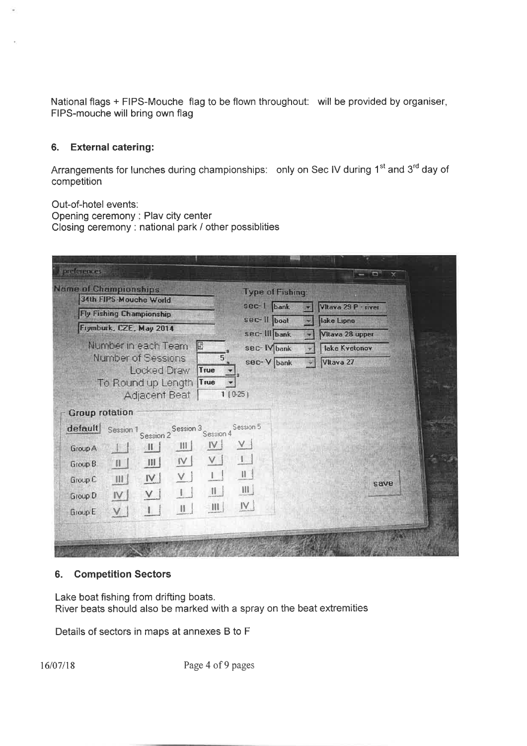National flags + FIPS-Mouche flag to be flown throughout: will be provided by organiser, FIPS-mouche will bring own flag

#### 6. External catering:

Arrangements for lunches during championships: only on Sec IV during 1<sup>st</sup> and 3<sup>rd</sup> day of competition

Out-of-hotel events. Opening ceremony : Plav city center Closing ceremony: national park I other possiblities

| <b>Name of Championships</b><br>34th FIPS-Mouche World                                                       |                                | <b>Type of Fishing:</b>                                                                                                                                                        |      |                                             |                        |                        |  |
|--------------------------------------------------------------------------------------------------------------|--------------------------------|--------------------------------------------------------------------------------------------------------------------------------------------------------------------------------|------|---------------------------------------------|------------------------|------------------------|--|
| <b>Fly Fishing Championship</b><br>Frymburk, CZE, May 2014<br>Number in each Team<br>B<br>Number of Sessions |                                | sec-1 bank<br>Vitava 29 P · river<br>sec-II boat<br>lake Lipno<br>sec-III bank<br>Vitava 28 upper<br>sec-IV bank<br>lake Kvetonov<br>5 <sup>1</sup><br>sec-V bank<br>Vltava 27 |      |                                             |                        |                        |  |
|                                                                                                              |                                |                                                                                                                                                                                |      | To Round up Length<br><b>Group rotation</b> | True<br>Adjacent Beat  | 1(0.25)                |  |
|                                                                                                              |                                |                                                                                                                                                                                |      | default<br>Session 1                        | Session 2<br>Session 2 | Session 5<br>Session 4 |  |
| Group A<br>$\mathcal{A}$                                                                                     | $\mathbb{H}$<br>$\mathbb{H}$ . | V <br>$V_{\cdot}$                                                                                                                                                              |      |                                             |                        |                        |  |
| $\mathbf{H}$<br>Group B                                                                                      | $\mathsf{I} \mathsf{V}$<br>    | $\mathbf{H}$<br>V                                                                                                                                                              |      |                                             |                        |                        |  |
| $\mathbb{H}$<br>Group C                                                                                      | V.<br>$ \vee $                 | $\begin{array}{c} \Pi \end{array}$<br>$\mathbf{L}$                                                                                                                             | save |                                             |                        |                        |  |
| IV<br>Group D                                                                                                | V                              | $\prod$<br>Ш.                                                                                                                                                                  |      |                                             |                        |                        |  |
| V.<br>Group E                                                                                                | $\parallel$<br>$\mathbb T$     | N<br>$\frac{1}{2}$                                                                                                                                                             |      |                                             |                        |                        |  |

#### 6. Competition Sectors

Lake boat fishing from drifting boats. River beats should also be marked with a spray on the beat extremities

Details of sectors in maps at annexes B to F

16/07/18 Page 4 of 9 pages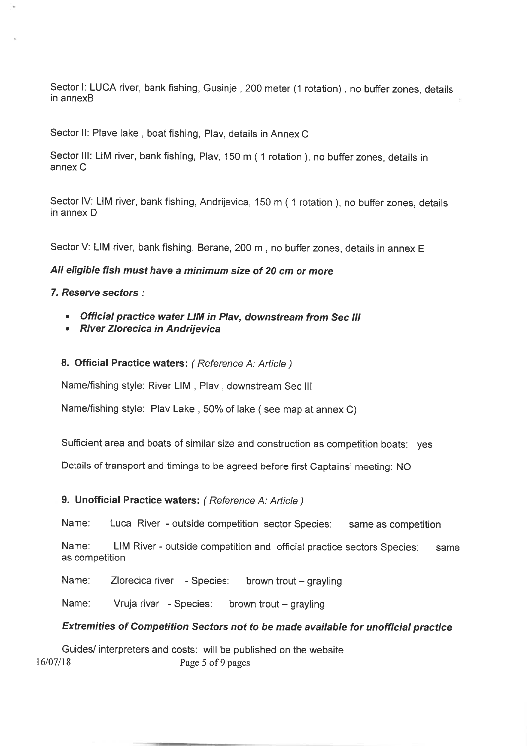Sector I: LUCA river, bank fishing, Gusinje, 200 meter (1 rotation), no buffer zones, details in annexB

Sector ll: Plave lake , boat fishing, Plav, details in Annex C

Sector III: LIM river, bank fishing, Plav, 150 m ( 1 rotation ), no buffer zones, details in annex C

Sector IV: LIM river, bank fishing, Andrijevica, 150 m (1 rotation), no buffer zones, details in annex D

Sector V: LIM river, bank fishing, Berane, 200 m , no buffer zones, details in annex <sup>E</sup>

#### All eligible fish must have a minimum size of 20 cm or more

7. Reserue secfors.'

- . Official practice water LIM in Plav, downstream from Sec lll
- . River Zlorecica in Andrijevica

8. Official Practice waters: ( Reference A: Article )

Name/fishing style: River LIM , Plav, downstream Sec lll

Name/fishing style: Plav Lake, 50% of lake (see map at annex C)

Sufficient area and boats of similar size and construction as competition boats: yes

Details of transport and timings to be agreed before first Captains' meeting: No

#### 9. Unofficial Practice waters: (Reference A: Article)

Name: Luca River - outside competition sector Species: same as competition

Name: LIM River - outside competition and official practice sectors Species: same as competition

Name: Zlorecica river - Species: brown trout - grayling

Name: Vruja river - Species: brown trout - grayling

#### Extremities of Competition Sectors not to be made available for unofficial practice

Guides/ interpreters and costs: will be published on the website 16/07/18 Page 5 of 9 pages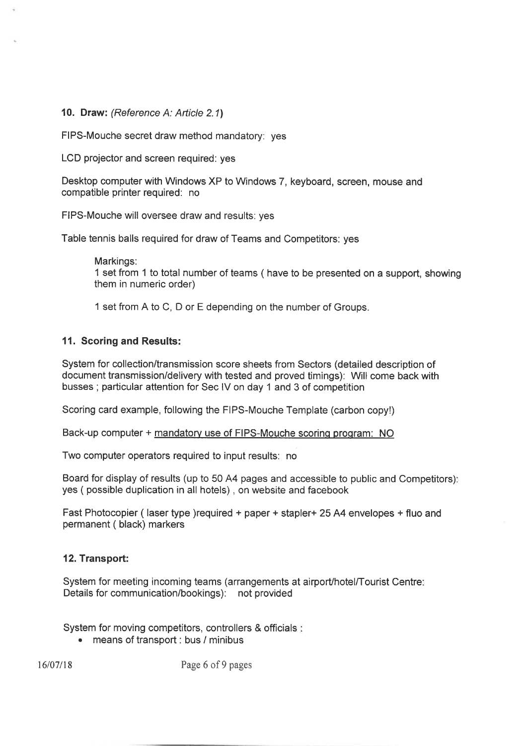#### 10. Draw: (Reference A: Article 2.1)

FIPS-Mouche secret draw method mandatory. yes

LCD projector and screen required: yes

Desktop computer with Windows XP to Windows 7, keyboard, screen, mouse and compatible printer required: no

FIPS-Mouche will oversee draw and results: yes

Table tennis balls required for draw of Teams and Competitors: yes

Markings: 1 set from 1 to total number of teams ( have to be presented on a support, showing them in numeric order)

1 set from A to C, D or E depending on the number of Groups.

#### 11. Scoring and Results:

System for collection/transmission score sheets from Sectors (detailed description of document transmission/delivery with tested and proved timings): Will come back with busses ; particular attention for Sec lV on day 1 and 3 of competition

Scoring card example, following the FIPS-Mouche Template (carbon copy!)

Back-up computer + mandatorv use of FIPS-Mouche scorinq proqram: NO

Two computer operators required to input results: no

Board for display of results (up to 50 A4 pages and accessible to public and Competitors) yes ( possible duplication in all hotels) , on website and facebook

Fast Photocopier (laser type )required + paper + stapler + 25 A4 envelopes + fluo and permanent ( black) markers

#### 12. Transport:

System for meeting incoming teams (arrangements at airport/hotel/Tourist Centre: Details for communication/bookings): not provided

System for moving competitors, controllers & officials

. means of transport : bus / minibus

16/07/18 Page 6 of 9 pages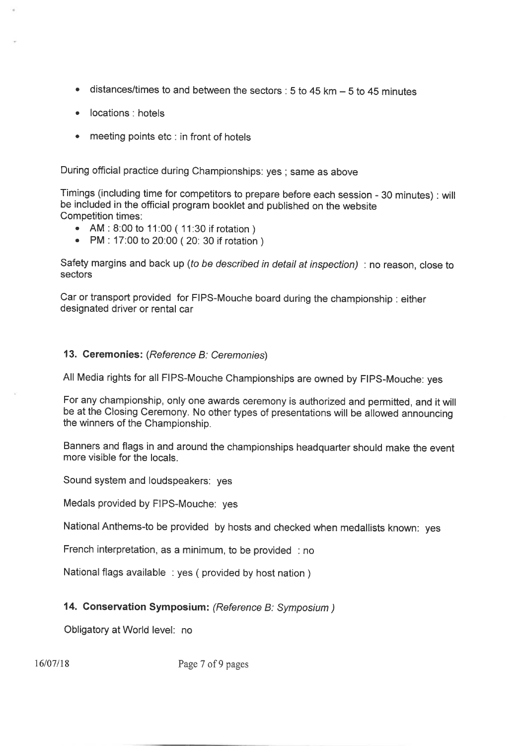- distances/times to and between the sectors : 5 to 45 km  $-$  5 to 45 minutes a
- locations : hotels a
- meeting points etc : in front of hotels a

During otficial practice during Championships: yes ; same as above

Timings (including time for competitors to prepare before each session - 30 minutes) : will be included in the official program booklet and published on the website Competition times:

- . AM : 8.00 to 11:00 ( 11:30 if rotation )
- . PM : 17:00 to 20:00 ( 20: 30 if rotation )

Safety margins and back up (to be described in detail at inspection) : no reason, close to sectors

Car or transport provided for FIPS-Mouche board during the championship : either designated driver or rental car

#### 13. Geremonies: (Reference B: Ceremonies)

All Media rights for all FIPS-Mouche Championships are owned by FIPS-Mouche: yes

For any championship, only one awards ceremony is authorized and permitted, and it will be at the Closing Ceremony. No other types of presentations will be allowed announcing the winners of the Championship.

Banners and flags in and around the championships headquarter should make the event more visible for the locals.

Sound system and loudspeakers: yes

Medals provided by FIPS-Mouche: yes

National Anthems-to be provided by hosts and checked when medallists known: yes

French interpretation, as a minimum, to be provided : no

National flags available : yes ( provided by host nation )

#### 14. Conservation Symposium: (Reference B: Symposium )

Obligatory at World level: no

16/07/18 Page 7 of 9 pages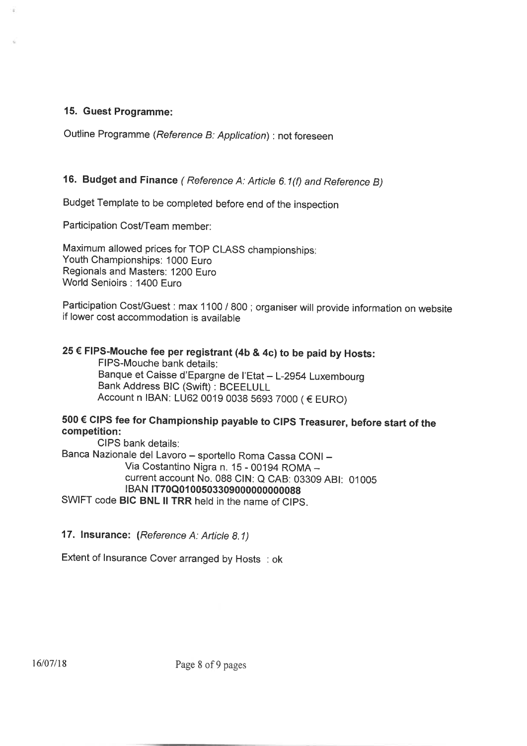### 15. Guest Programme:

Outline Programme (Reference B: Application) : not foreseen

## 16. Budget and Finance (Reference A: Article 6.1(f) and Reference B)

Budget Template to be completed before end of the inspection

Participation Cost/Team member:

Maximum allowed prices for TOP CLASS championships Youth Championships: 1000 Euro Regionals and Masters: 1200 Euro World Senioirs: 1400 Euro

Participation Cost/Guest : max 1100 / 800 ; organiser will provide information on website if lower cost accommodation is available

# 25 € FIPS-Mouche fee per registrant (4b & 4c) to be paid by Hosts:

FIPS-Mouche bank details: Banque et Caisse d'Epargne de l'Etat - L-2954 Luxembourg Bank Address BtC (Swift) : BCEELULL Account n IBAN: LU62 0019 0038 5693 TOOO ( € EURO)

## <sup>500</sup>€ CIPS fee for Championship payable to CIPS Treasurer, before start of the competition:

CIPS bank details: Banca Nazionale del Lavoro - sportello Roma Cassa CONI -Via Costantino Nigra n. 1S - 00194 ROMA current account No. 088 CIN: Q CAB: 03309 ABI: 01005 tBAN tT70Q01 00503309000000000088 SWIFT code BIC BNL II TRR held in the name of CIPS.

17. lnsurance: (Reference A: Article 8.1)

Extent of lnsurance Cover arranged by Hosts : ok